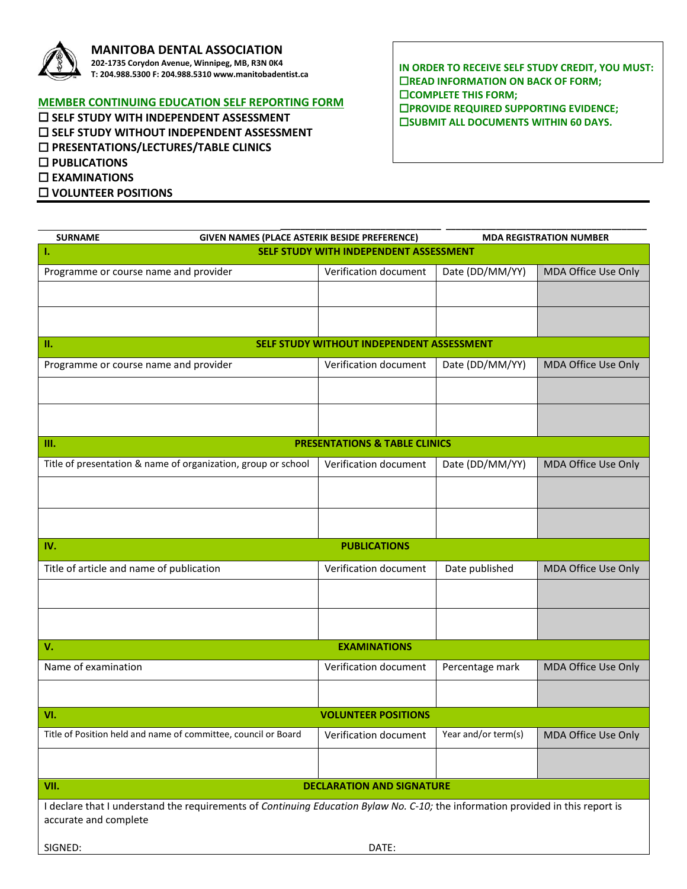

## **MANITOBA DENTAL ASSOCIATION**

**202-1735 Corydon Avenue, Winnipeg, MB, R3N 0K4 T: 204.988.5300 F: 204.988.5310 www.manitobadentist.ca**

## **MEMBER CONTINUING EDUCATION SELF REPORTING FORM**

 **SELF STUDY WITH INDEPENDENT ASSESSMENT SELF STUDY WITHOUT INDEPENDENT ASSESSMENT PRESENTATIONS/LECTURES/TABLE CLINICS PUBLICATIONS EXAMINATIONS VOLUNTEER POSITIONS**

**IN ORDER TO RECEIVE SELF STUDY CREDIT, YOU MUST: EXECUTE INFORMATION ON BACK OF FORM; COMPLETE THIS FORM; PROVIDE REQUIRED SUPPORTING EVIDENCE; EISUBMIT ALL DOCUMENTS WITHIN 60 DAYS.** 

| <b>SURNAME</b>                                                                                                                  | GIVEN NAMES (PLACE ASTERIK BESIDE PREFERENCE) |                       |                     | <b>MDA REGISTRATION NUMBER</b> |  |
|---------------------------------------------------------------------------------------------------------------------------------|-----------------------------------------------|-----------------------|---------------------|--------------------------------|--|
| т.                                                                                                                              | SELF STUDY WITH INDEPENDENT ASSESSMENT        |                       |                     |                                |  |
| Programme or course name and provider                                                                                           |                                               | Verification document | Date (DD/MM/YY)     | MDA Office Use Only            |  |
|                                                                                                                                 |                                               |                       |                     |                                |  |
|                                                                                                                                 |                                               |                       |                     |                                |  |
|                                                                                                                                 |                                               |                       |                     |                                |  |
| п.<br>SELF STUDY WITHOUT INDEPENDENT ASSESSMENT                                                                                 |                                               |                       |                     |                                |  |
| Programme or course name and provider                                                                                           |                                               | Verification document | Date (DD/MM/YY)     | MDA Office Use Only            |  |
|                                                                                                                                 |                                               |                       |                     |                                |  |
|                                                                                                                                 |                                               |                       |                     |                                |  |
|                                                                                                                                 |                                               |                       |                     |                                |  |
| III.                                                                                                                            | <b>PRESENTATIONS &amp; TABLE CLINICS</b>      |                       |                     |                                |  |
| Title of presentation & name of organization, group or school                                                                   |                                               | Verification document | Date (DD/MM/YY)     | MDA Office Use Only            |  |
|                                                                                                                                 |                                               |                       |                     |                                |  |
|                                                                                                                                 |                                               |                       |                     |                                |  |
|                                                                                                                                 |                                               |                       |                     |                                |  |
| IV.<br><b>PUBLICATIONS</b>                                                                                                      |                                               |                       |                     |                                |  |
| Title of article and name of publication                                                                                        |                                               | Verification document | Date published      | MDA Office Use Only            |  |
|                                                                                                                                 |                                               |                       |                     |                                |  |
|                                                                                                                                 |                                               |                       |                     |                                |  |
|                                                                                                                                 |                                               |                       |                     |                                |  |
| <b>EXAMINATIONS</b><br>V.                                                                                                       |                                               |                       |                     |                                |  |
|                                                                                                                                 |                                               |                       |                     |                                |  |
| Name of examination                                                                                                             |                                               | Verification document | Percentage mark     | MDA Office Use Only            |  |
|                                                                                                                                 |                                               |                       |                     |                                |  |
| VI.                                                                                                                             | <b>VOLUNTEER POSITIONS</b>                    |                       |                     |                                |  |
| Title of Position held and name of committee, council or Board                                                                  |                                               | Verification document | Year and/or term(s) | MDA Office Use Only            |  |
|                                                                                                                                 |                                               |                       |                     |                                |  |
|                                                                                                                                 |                                               |                       |                     |                                |  |
| VII.<br><b>DECLARATION AND SIGNATURE</b>                                                                                        |                                               |                       |                     |                                |  |
| I declare that I understand the requirements of Continuing Education Bylaw No. C-10; the information provided in this report is |                                               |                       |                     |                                |  |
| accurate and complete                                                                                                           |                                               |                       |                     |                                |  |
| SIGNED:                                                                                                                         | DATE:                                         |                       |                     |                                |  |